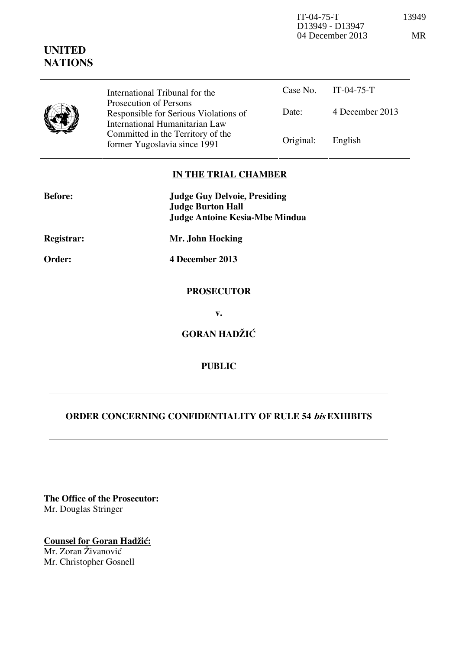IT-04-75-T 13949 D13949 - D13947 04 December 2013 MR

|  | ×<br>۰, | ٩ |  |
|--|---------|---|--|
|  |         |   |  |

| International Tribunal for the                                                                                                               | Case No.               | $IT-04-75-T$    |
|----------------------------------------------------------------------------------------------------------------------------------------------|------------------------|-----------------|
| Responsible for Serious Violations of<br>International Humanitarian Law<br>Committed in the Territory of the<br>former Yugoslavia since 1991 | Date:                  | 4 December 2013 |
|                                                                                                                                              | Original:              | English         |
|                                                                                                                                              | Prosecution of Persons |                 |

## **IN THE TRIAL CHAMBER**

| <b>Before:</b> | <b>Judge Guy Delvoie, Presiding</b><br><b>Judge Burton Hall</b> |  |  |
|----------------|-----------------------------------------------------------------|--|--|
|                |                                                                 |  |  |
|                | <b>Judge Antoine Kesia-Mbe Mindua</b>                           |  |  |
| Registrar:     | Mr. John Hocking                                                |  |  |
| Order:         | 4 December 2013                                                 |  |  |
|                | <b>PROSECUTOR</b>                                               |  |  |
|                | $\mathbf{v}$ .                                                  |  |  |
|                | <b>GORAN HADŽIĆ</b>                                             |  |  |
|                | <b>PUBLIC</b>                                                   |  |  |

## **ORDER CONCERNING CONFIDENTIALITY OF RULE 54 bis EXHIBITS**

**The Office of the Prosecutor:** Mr. Douglas Stringer

**UNITED NATIONS**

**Counsel for Goran Hadžić:** Mr. Zoran Živanović Mr. Christopher Gosnell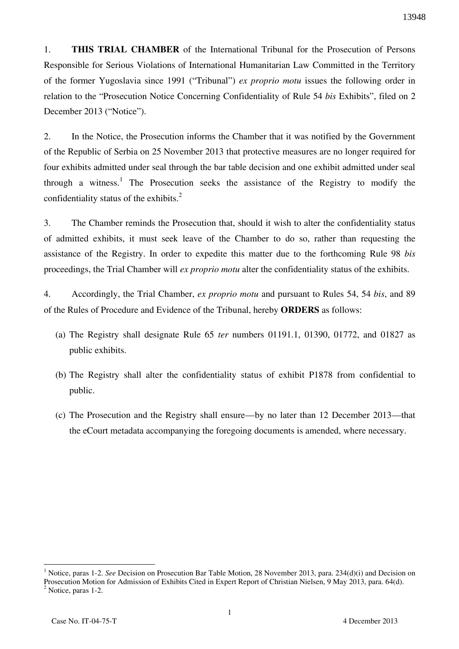1. **THIS TRIAL CHAMBER** of the International Tribunal for the Prosecution of Persons Responsible for Serious Violations of International Humanitarian Law Committed in the Territory of the former Yugoslavia since 1991 ("Tribunal") *ex proprio motu* issues the following order in relation to the "Prosecution Notice Concerning Confidentiality of Rule 54 *bis* Exhibits", filed on 2 December 2013 ("Notice").

2. In the Notice, the Prosecution informs the Chamber that it was notified by the Government of the Republic of Serbia on 25 November 2013 that protective measures are no longer required for four exhibits admitted under seal through the bar table decision and one exhibit admitted under seal through a witness.<sup>1</sup> The Prosecution seeks the assistance of the Registry to modify the confidentiality status of the exhibits.<sup>2</sup>

3. The Chamber reminds the Prosecution that, should it wish to alter the confidentiality status of admitted exhibits, it must seek leave of the Chamber to do so, rather than requesting the assistance of the Registry. In order to expedite this matter due to the forthcoming Rule 98 *bis* proceedings, the Trial Chamber will *ex proprio motu* alter the confidentiality status of the exhibits.

4. Accordingly, the Trial Chamber, *ex proprio motu* and pursuant to Rules 54, 54 *bis*, and 89 of the Rules of Procedure and Evidence of the Tribunal, hereby **ORDERS** as follows:

- (a) The Registry shall designate Rule 65 *ter* numbers 01191.1, 01390, 01772, and 01827 as public exhibits.
- (b) The Registry shall alter the confidentiality status of exhibit P1878 from confidential to public.
- (c) The Prosecution and the Registry shall ensure—by no later than 12 December 2013—that the eCourt metadata accompanying the foregoing documents is amended, where necessary.

 $\overline{a}$ <sup>1</sup> Notice, paras 1-2. *See* Decision on Prosecution Bar Table Motion, 28 November 2013, para. 234(d)(i) and Decision on Prosecution Motion for Admission of Exhibits Cited in Expert Report of Christian Nielsen, 9 May 2013, para. 64(d). <sup>2</sup> Notice, paras 1-2.